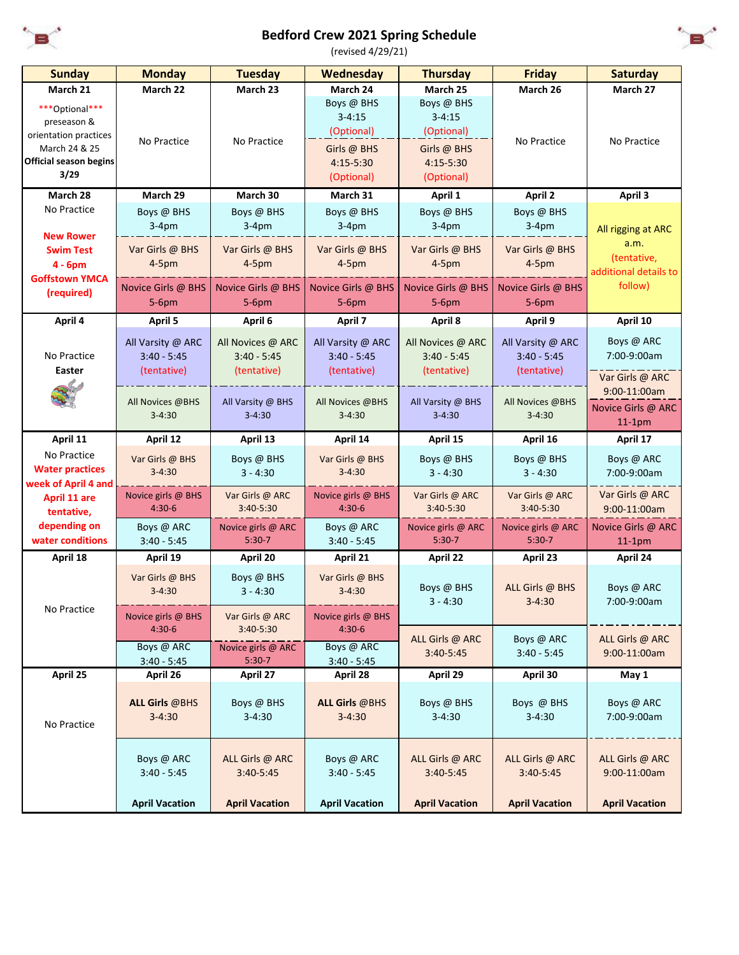

## **Bedford Crew 2021 Spring Schedule**



(revised 4/29/21)

| <b>Sunday</b>                                 | <b>Monday</b>                       | <b>Tuesday</b>           | Wednesday                           | <b>Thursday</b>          | <b>Friday</b>            | <b>Saturday</b>           |
|-----------------------------------------------|-------------------------------------|--------------------------|-------------------------------------|--------------------------|--------------------------|---------------------------|
| March 21                                      | March 22                            | March 23                 | March 24                            | March 25                 | March 26                 | March 27                  |
| ***Optional***                                |                                     |                          | Boys @ BHS                          | Boys @ BHS               |                          |                           |
| preseason &                                   |                                     |                          | $3 - 4:15$                          | $3 - 4:15$               |                          |                           |
| orientation practices                         |                                     |                          | (Optional)                          | (Optional)               |                          |                           |
| March 24 & 25                                 | No Practice                         | No Practice              | Girls @ BHS                         | Girls @ BHS              | No Practice              | No Practice               |
| <b>Official season begins</b>                 |                                     |                          | 4:15-5:30                           | $4:15-5:30$              |                          |                           |
| 3/29                                          |                                     |                          | (Optional)                          | (Optional)               |                          |                           |
| March 28                                      | March 29                            | March 30                 | March 31                            | April 1                  | <b>April 2</b>           | April 3                   |
| No Practice                                   | Boys @ BHS                          | Boys @ BHS               | Boys @ BHS                          | Boys @ BHS               | Boys @ BHS               |                           |
|                                               | $3-4pm$                             | $3-4pm$                  | $3-4pm$                             | $3-4pm$                  | $3-4pm$                  | All rigging at ARC        |
| <b>New Rower</b>                              | Var Girls @ BHS                     | Var Girls @ BHS          | Var Girls @ BHS                     | Var Girls @ BHS          | Var Girls @ BHS          | a.m.                      |
| <b>Swim Test</b>                              | $4-5pm$                             | $4-5pm$                  | $4-5pm$                             | $4-5pm$                  | $4-5pm$                  | (tentative,               |
| $4 - 6pm$<br><b>Goffstown YMCA</b>            |                                     |                          |                                     |                          |                          | additional details to     |
| (required)                                    | Novice Girls @ BHS                  | Novice Girls @ BHS       | Novice Girls @ BHS                  | Novice Girls @ BHS       | Novice Girls @ BHS       | follow)                   |
|                                               | $5-6$ pm                            | $5-6pm$                  | 5-6pm                               | $5-6$ pm                 | $5-6$ pm                 |                           |
| April 4                                       | April 5                             | April 6                  | April 7                             | April 8                  | April 9                  | April 10                  |
|                                               | All Varsity @ ARC                   | All Novices @ ARC        | All Varsity @ ARC                   | All Novices @ ARC        | All Varsity @ ARC        | Boys @ ARC                |
| No Practice                                   | $3:40 - 5:45$                       | $3:40 - 5:45$            | $3:40 - 5:45$                       | $3:40 - 5:45$            | $3:40 - 5:45$            | 7:00-9:00am               |
| Easter                                        | (tentative)                         | (tentative)              | (tentative)                         | (tentative)              | (tentative)              |                           |
|                                               |                                     |                          |                                     |                          |                          | Var Girls @ ARC           |
|                                               | All Novices @BHS                    | All Varsity @ BHS        | All Novices @BHS                    | All Varsity @ BHS        | All Novices @BHS         | 9:00-11:00am              |
|                                               | $3 - 4:30$                          | $3 - 4:30$               | $3 - 4:30$                          | $3 - 4:30$               | $3 - 4:30$               | Novice Girls @ ARC        |
|                                               |                                     |                          |                                     |                          |                          | $11-1pm$                  |
| April 11                                      | April 12                            | April 13                 | April 14                            | April 15                 | April 16                 | April 17                  |
| No Practice                                   | Var Girls @ BHS                     | Boys @ BHS               | Var Girls @ BHS                     | Boys @ BHS               | Boys @ BHS               | Boys @ ARC                |
| <b>Water practices</b><br>week of April 4 and | $3 - 4:30$                          | $3 - 4:30$               | $3 - 4:30$                          | $3 - 4:30$               | $3 - 4:30$               | 7:00-9:00am               |
| April 11 are                                  | Novice girls @ BHS                  | Var Girls @ ARC          | Novice girls @ BHS                  | Var Girls @ ARC          | Var Girls @ ARC          | Var Girls @ ARC           |
| tentative,                                    | $4:30-6$                            | 3:40-5:30                | $4:30-6$                            | 3:40-5:30                | 3:40-5:30                | 9:00-11:00am              |
| depending on                                  | Boys @ ARC                          | Novice girls @ ARC       | Boys @ ARC                          | Novice girls @ ARC       | Novice girls @ ARC       | Novice Girls @ ARC        |
| water conditions                              | $3:40 - 5:45$                       | $5:30-7$                 | $3:40 - 5:45$                       | $5:30-7$                 | $5:30-7$                 | $11-1pm$                  |
| April 18                                      | April 19                            | April 20                 | April 21                            | April 22                 | April 23                 | April 24                  |
|                                               | Var Girls @ BHS                     | Boys @ BHS               | Var Girls @ BHS                     |                          |                          |                           |
|                                               | $3 - 4:30$                          | $3 - 4:30$               | $3 - 4:30$                          | Boys @ BHS               | ALL Girls @ BHS          | Boys @ ARC                |
| No Practice                                   |                                     |                          |                                     | $3 - 4:30$               | $3 - 4:30$               | 7:00-9:00am               |
|                                               | Novice girls @ BHS                  | Var Girls @ ARC          | Novice girls @ BHS                  |                          |                          |                           |
|                                               | $4:30-6$                            | 3:40-5:30                | $4:30-6$                            | ALL Girls @ ARC          | Boys @ ARC               | ALL Girls @ ARC           |
|                                               | Boys @ ARC                          | Novice girls @ ARC       | Boys @ ARC                          | 3:40-5:45                | $3:40 - 5:45$            | 9:00-11:00am              |
|                                               | $3:40 - 5:45$                       | $5:30-7$                 | $3:40 - 5:45$                       |                          |                          |                           |
| April 25                                      | April 26                            | April 27                 | April 28                            | April 29                 | April 30                 | May 1                     |
|                                               |                                     |                          |                                     |                          |                          |                           |
|                                               | <b>ALL Girls @BHS</b><br>$3 - 4:30$ | Boys @ BHS<br>$3 - 4:30$ | <b>ALL Girls @BHS</b><br>$3 - 4:30$ | Boys @ BHS<br>$3 - 4:30$ | Boys @ BHS<br>$3 - 4:30$ | Boys @ ARC<br>7:00-9:00am |
| No Practice                                   |                                     |                          |                                     |                          |                          |                           |
|                                               |                                     |                          |                                     |                          |                          |                           |
|                                               | Boys @ ARC                          | ALL Girls @ ARC          | Boys @ ARC                          | ALL Girls @ ARC          | ALL Girls @ ARC          | ALL Girls @ ARC           |
|                                               | $3:40 - 5:45$                       | 3:40-5:45                | $3:40 - 5:45$                       | 3:40-5:45                | 3:40-5:45                | 9:00-11:00am              |
|                                               |                                     |                          |                                     |                          |                          |                           |
|                                               | <b>April Vacation</b>               | <b>April Vacation</b>    | <b>April Vacation</b>               | <b>April Vacation</b>    | <b>April Vacation</b>    | <b>April Vacation</b>     |